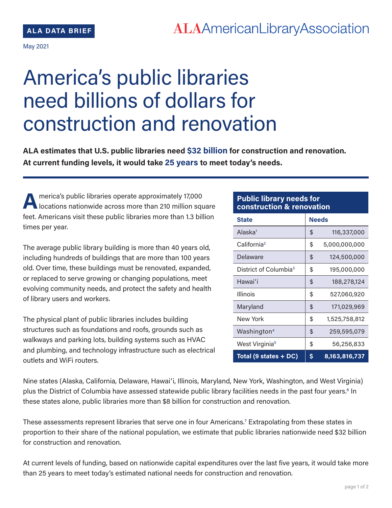# America's public libraries need billions of dollars for construction and renovation

**ALA estimates that U.S. public libraries need \$32 billion for construction and renovation. At current funding levels, it would take 25 years to meet today's needs.**

**A** merica's public libraries operate approximately 17,000 locations nationwide across more than 210 million square feet. Americans visit these public libraries more than 1.3 billion times per year.

The average public library building is more than 40 years old, including hundreds of buildings that are more than 100 years old. Over time, these buildings must be renovated, expanded, or replaced to serve growing or changing populations, meet evolving community needs, and protect the safety and health of library users and workers.

The physical plant of public libraries includes building structures such as foundations and roofs, grounds such as walkways and parking lots, building systems such as HVAC and plumbing, and technology infrastructure such as electrical outlets and WiFi routers.

### **Public library needs for construction & renovation**

| <b>State</b>                      | <b>Needs</b> |               |
|-----------------------------------|--------------|---------------|
| Alaska <sup>1</sup>               | \$           | 116,337,000   |
| California <sup>2</sup>           | \$           | 5,000,000,000 |
| Delaware                          | \$           | 124,500,000   |
| District of Columbia <sup>3</sup> | \$           | 195,000,000   |
| Hawai'i                           | \$           | 188,278,124   |
| <b>Illinois</b>                   | \$           | 527,060,920   |
| Maryland                          | \$           | 171,029,969   |
| New York                          | \$           | 1,525,758,812 |
| Washington <sup>4</sup>           | \$           | 259,595,079   |
| West Virginia <sup>5</sup>        | \$           | 56,256,833    |
| Total (9 states + DC)             | S            | 8,163,816,737 |

Nine states (Alaska, California, Delaware, Hawaiʻi, Illinois, Maryland, New York, Washington, and West Virginia) plus the District of Columbia have assessed statewide public library facilities needs in the past four years.<sup>6</sup> In these states alone, public libraries more than \$8 billion for construction and renovation.

These assessments represent libraries that serve one in four Americans.<sup>7</sup> Extrapolating from these states in proportion to their share of the national population, we estimate that public libraries nationwide need \$32 billion for construction and renovation.

At current levels of funding, based on nationwide capital expenditures over the last five years, it would take more than 25 years to meet today's estimated national needs for construction and renovation.